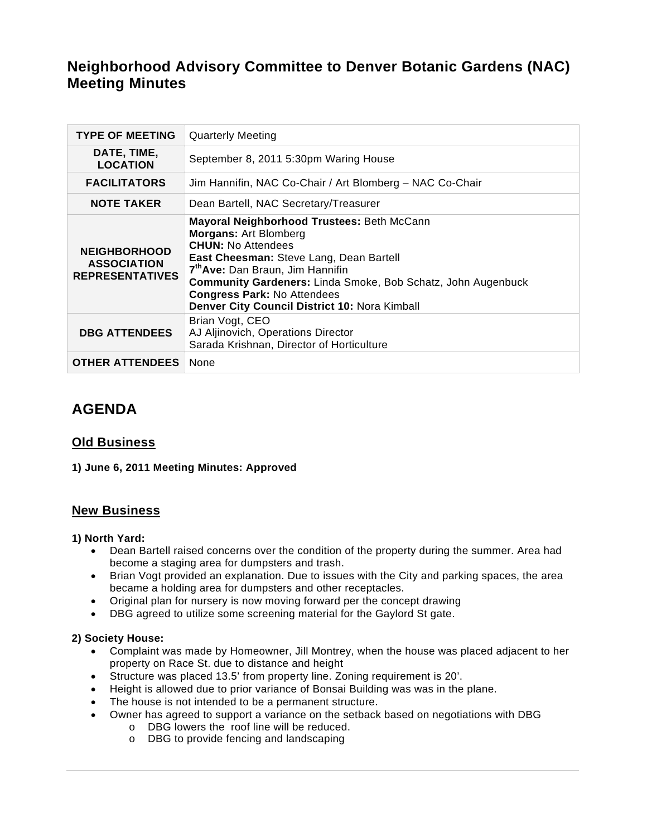# **Neighborhood Advisory Committee to Denver Botanic Gardens (NAC) Meeting Minutes**

| <b>TYPE OF MEETING</b>                                              | <b>Quarterly Meeting</b>                                                                                                                                                                                                                                                                                                                                  |
|---------------------------------------------------------------------|-----------------------------------------------------------------------------------------------------------------------------------------------------------------------------------------------------------------------------------------------------------------------------------------------------------------------------------------------------------|
| DATE, TIME,<br><b>LOCATION</b>                                      | September 8, 2011 5:30pm Waring House                                                                                                                                                                                                                                                                                                                     |
| <b>FACILITATORS</b>                                                 | Jim Hannifin, NAC Co-Chair / Art Blomberg - NAC Co-Chair                                                                                                                                                                                                                                                                                                  |
| <b>NOTE TAKER</b>                                                   | Dean Bartell, NAC Secretary/Treasurer                                                                                                                                                                                                                                                                                                                     |
| <b>NEIGHBORHOOD</b><br><b>ASSOCIATION</b><br><b>REPRESENTATIVES</b> | Mayoral Neighborhood Trustees: Beth McCann<br><b>Morgans: Art Blomberg</b><br><b>CHUN:</b> No Attendees<br>East Cheesman: Steve Lang, Dean Bartell<br>7 <sup>th</sup> Ave: Dan Braun, Jim Hannifin<br>Community Gardeners: Linda Smoke, Bob Schatz, John Augenbuck<br><b>Congress Park: No Attendees</b><br>Denver City Council District 10: Nora Kimball |
| <b>DBG ATTENDEES</b>                                                | Brian Vogt, CEO<br>AJ Aljinovich, Operations Director<br>Sarada Krishnan, Director of Horticulture                                                                                                                                                                                                                                                        |
| <b>OTHER ATTENDEES</b>                                              | None                                                                                                                                                                                                                                                                                                                                                      |

# **AGENDA**

## **Old Business**

## **1) June 6, 2011 Meeting Minutes: Approved**

## **New Business**

## **1) North Yard:**

- Dean Bartell raised concerns over the condition of the property during the summer. Area had become a staging area for dumpsters and trash.
- Brian Vogt provided an explanation. Due to issues with the City and parking spaces, the area became a holding area for dumpsters and other receptacles.
- Original plan for nursery is now moving forward per the concept drawing
- DBG agreed to utilize some screening material for the Gaylord St gate.

## **2) Society House:**

- Complaint was made by Homeowner, Jill Montrey, when the house was placed adjacent to her property on Race St. due to distance and height
- Structure was placed 13.5' from property line. Zoning requirement is 20'.
- Height is allowed due to prior variance of Bonsai Building was was in the plane.
- The house is not intended to be a permanent structure.
- Owner has agreed to support a variance on the setback based on negotiations with DBG
	- o DBG lowers the roof line will be reduced.
	- o DBG to provide fencing and landscaping